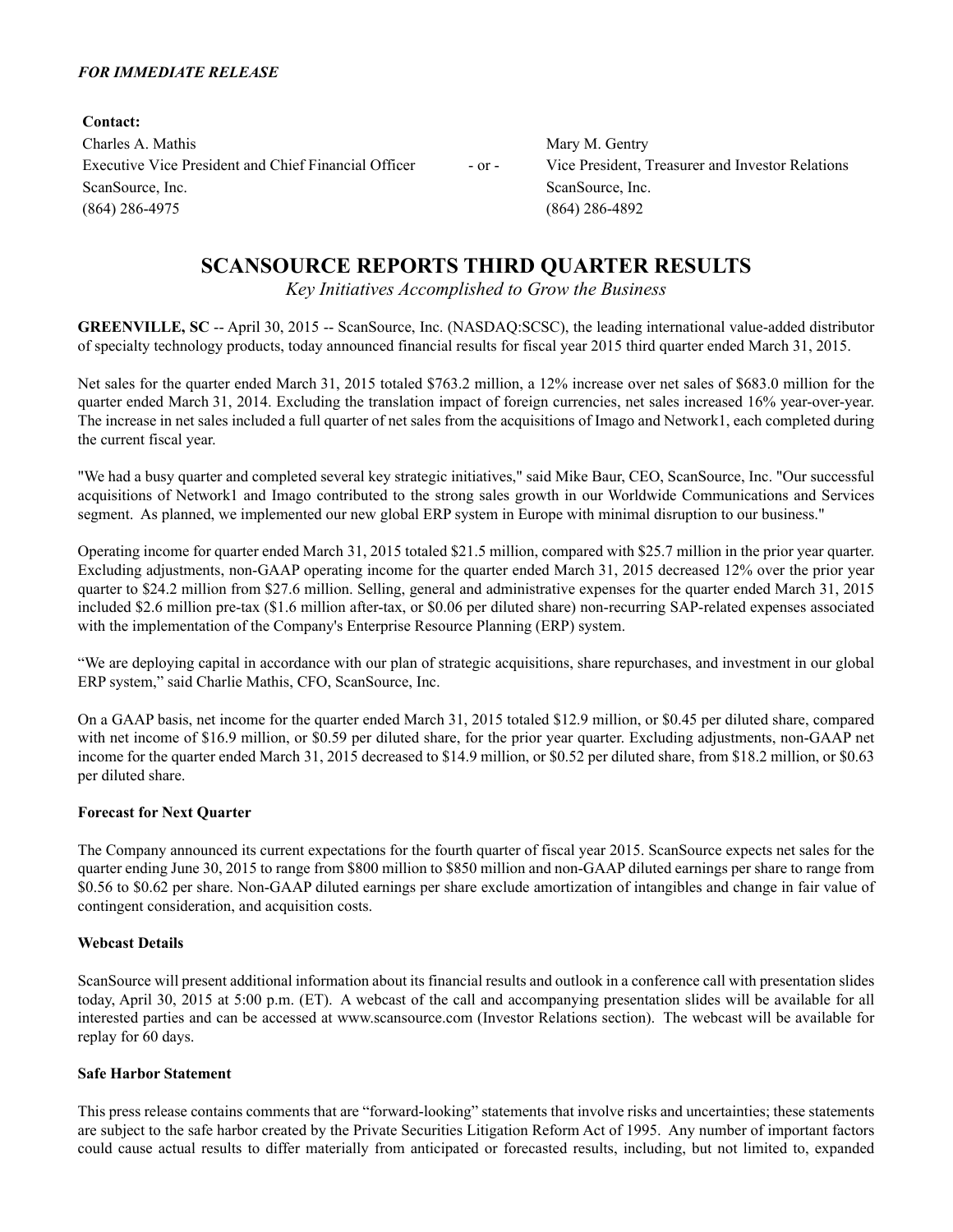#### *FOR IMMEDIATE RELEASE*

**Contact:** Charles A. Mathis Mary M. Gentry Executive Vice President and Chief Financial Officer - or - Vice President, Treasurer and Investor Relations ScanSource, Inc. ScanSource, Inc. ScanSource, Inc. (864) 286-4975 (864) 286-4892

# **SCANSOURCE REPORTS THIRD QUARTER RESULTS**

*Key Initiatives Accomplished to Grow the Business*

**GREENVILLE, SC** -- April 30, 2015 -- ScanSource, Inc. (NASDAQ:SCSC), the leading international value-added distributor of specialty technology products, today announced financial results for fiscal year 2015 third quarter ended March 31, 2015.

Net sales for the quarter ended March 31, 2015 totaled \$763.2 million, a 12% increase over net sales of \$683.0 million for the quarter ended March 31, 2014. Excluding the translation impact of foreign currencies, net sales increased 16% year-over-year. The increase in net sales included a full quarter of net sales from the acquisitions of Imago and Network1, each completed during the current fiscal year.

"We had a busy quarter and completed several key strategic initiatives," said Mike Baur, CEO, ScanSource, Inc. "Our successful acquisitions of Network1 and Imago contributed to the strong sales growth in our Worldwide Communications and Services segment. As planned, we implemented our new global ERP system in Europe with minimal disruption to our business."

Operating income for quarter ended March 31, 2015 totaled \$21.5 million, compared with \$25.7 million in the prior year quarter. Excluding adjustments, non-GAAP operating income for the quarter ended March 31, 2015 decreased 12% over the prior year quarter to \$24.2 million from \$27.6 million. Selling, general and administrative expenses for the quarter ended March 31, 2015 included \$2.6 million pre-tax (\$1.6 million after-tax, or \$0.06 per diluted share) non-recurring SAP-related expenses associated with the implementation of the Company's Enterprise Resource Planning (ERP) system.

"We are deploying capital in accordance with our plan of strategic acquisitions, share repurchases, and investment in our global ERP system," said Charlie Mathis, CFO, ScanSource, Inc.

On a GAAP basis, net income for the quarter ended March 31, 2015 totaled \$12.9 million, or \$0.45 per diluted share, compared with net income of \$16.9 million, or \$0.59 per diluted share, for the prior year quarter. Excluding adjustments, non-GAAP net income for the quarter ended March 31, 2015 decreased to \$14.9 million, or \$0.52 per diluted share, from \$18.2 million, or \$0.63 per diluted share.

#### **Forecast for Next Quarter**

The Company announced its current expectations for the fourth quarter of fiscal year 2015. ScanSource expects net sales for the quarter ending June 30, 2015 to range from \$800 million to \$850 million and non-GAAPdiluted earnings per share to range from \$0.56 to \$0.62 per share. Non-GAAP diluted earnings per share exclude amortization of intangibles and change in fair value of contingent consideration, and acquisition costs.

#### **Webcast Details**

ScanSource will present additional information about its financial results and outlook in a conference call with presentation slides today, April 30, 2015 at 5:00 p.m. (ET). A webcast of the call and accompanying presentation slides will be available for all interested parties and can be accessed at www.scansource.com (Investor Relations section). The webcast will be available for replay for 60 days.

#### **Safe Harbor Statement**

This press release contains comments that are "forward-looking" statements that involve risks and uncertainties; these statements are subject to the safe harbor created by the Private Securities Litigation Reform Act of 1995. Any number of important factors could cause actual results to differ materially from anticipated or forecasted results, including, but not limited to, expanded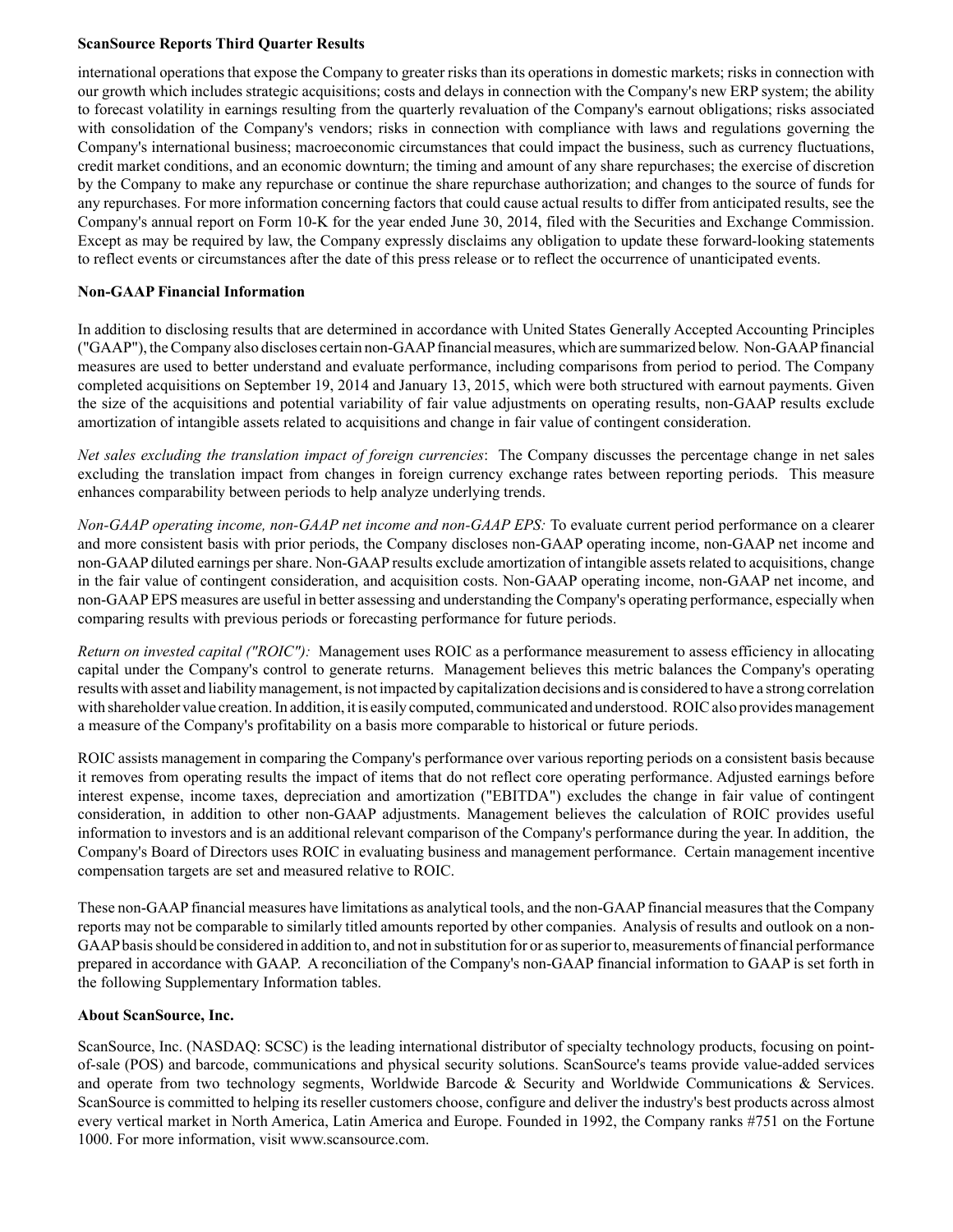### **ScanSource Reports Third Quarter Results**

international operations that expose the Company to greater risks than its operations in domestic markets; risks in connection with our growth which includes strategic acquisitions; costs and delays in connection with the Company's new ERP system; the ability to forecast volatility in earnings resulting from the quarterly revaluation of the Company's earnout obligations; risks associated with consolidation of the Company's vendors; risks in connection with compliance with laws and regulations governing the Company's international business; macroeconomic circumstances that could impact the business, such as currency fluctuations, credit market conditions, and an economic downturn; the timing and amount of any share repurchases; the exercise of discretion by the Company to make any repurchase or continue the share repurchase authorization; and changes to the source of funds for any repurchases. For more information concerning factors that could cause actual results to differ from anticipated results, see the Company's annual report on Form 10-K for the year ended June 30, 2014, filed with the Securities and Exchange Commission. Except as may be required by law, the Company expressly disclaims any obligation to update these forward-looking statements to reflect events or circumstances after the date of this press release or to reflect the occurrence of unanticipated events.

### **Non-GAAP Financial Information**

In addition to disclosing results that are determined in accordance with United States Generally Accepted Accounting Principles ("GAAP"), the Company also discloses certain non-GAAPfinancial measures, which are summarized below. Non-GAAPfinancial measures are used to better understand and evaluate performance, including comparisons from period to period. The Company completed acquisitions on September 19, 2014 and January 13, 2015, which were both structured with earnout payments. Given the size of the acquisitions and potential variability of fair value adjustments on operating results, non-GAAP results exclude amortization of intangible assets related to acquisitions and change in fair value of contingent consideration.

*Net sales excluding the translation impact of foreign currencies*: The Company discusses the percentage change in net sales excluding the translation impact from changes in foreign currency exchange rates between reporting periods. This measure enhances comparability between periods to help analyze underlying trends.

*Non-GAAP operating income, non-GAAP net income and non-GAAP EPS:* To evaluate current period performance on a clearer and more consistent basis with prior periods, the Company discloses non-GAAP operating income, non-GAAP net income and non-GAAP diluted earnings per share. Non-GAAP results exclude amortization of intangible assets related to acquisitions, change in the fair value of contingent consideration, and acquisition costs. Non-GAAP operating income, non-GAAP net income, and non-GAAPEPS measures are useful in better assessing and understanding the Company's operating performance, especially when comparing results with previous periods or forecasting performance for future periods.

*Return on invested capital ("ROIC"):* Management uses ROIC as a performance measurement to assess efficiency in allocating capital under the Company's control to generate returns. Management believes this metric balances the Company's operating results with asset and liability management, is not impacted by capitalization decisions and is considered to have a strong correlation with shareholder value creation. In addition, it is easily computed, communicated and understood. ROIC also provides management a measure of the Company's profitability on a basis more comparable to historical or future periods.

ROIC assists management in comparing the Company's performance over various reporting periods on a consistent basis because it removes from operating results the impact of items that do not reflect core operating performance. Adjusted earnings before interest expense, income taxes, depreciation and amortization ("EBITDA") excludes the change in fair value of contingent consideration, in addition to other non-GAAP adjustments. Management believes the calculation of ROIC provides useful information to investors and is an additional relevant comparison of the Company's performance during the year. In addition, the Company's Board of Directors uses ROIC in evaluating business and management performance. Certain management incentive compensation targets are set and measured relative to ROIC.

These non-GAAPfinancial measures have limitations as analytical tools, and the non-GAAPfinancial measures that the Company reports may not be comparable to similarly titled amounts reported by other companies. Analysis of results and outlook on a non-GAAPbasis should be considered in addition to, and not in substitution for or as superior to, measurements of financial performance prepared in accordance with GAAP. A reconciliation of the Company's non-GAAPfinancial information to GAAPis set forth in the following Supplementary Information tables.

#### **About ScanSource, Inc.**

ScanSource, Inc. (NASDAQ: SCSC) is the leading international distributor of specialty technology products, focusing on pointof-sale (POS) and barcode, communications and physical security solutions. ScanSource's teams provide value-added services and operate from two technology segments, Worldwide Barcode & Security and Worldwide Communications & Services. ScanSource is committed to helping its reseller customers choose, configure and deliver the industry's best products across almost every vertical market in North America, Latin America and Europe. Founded in 1992, the Company ranks #751 on the Fortune 1000. For more information, visit www.scansource.com.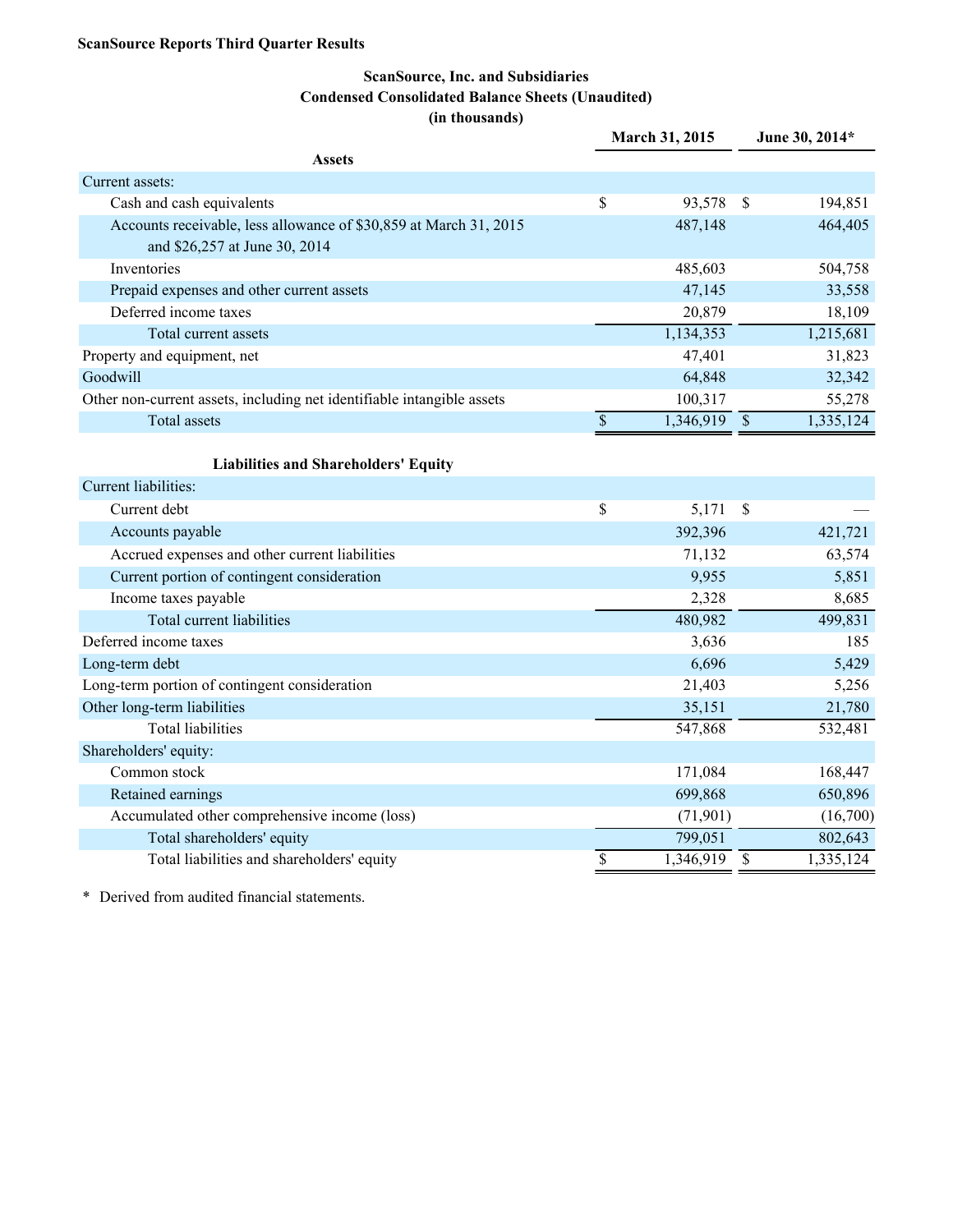### **ScanSource Reports Third Quarter Results**

## **ScanSource, Inc. and Subsidiaries Condensed Consolidated Balance Sheets (Unaudited) (in thousands)**

|                                                                                                    | March 31, 2015  |              | June 30, 2014*           |           |
|----------------------------------------------------------------------------------------------------|-----------------|--------------|--------------------------|-----------|
| Assets                                                                                             |                 |              |                          |           |
| Current assets:                                                                                    |                 |              |                          |           |
| Cash and cash equivalents                                                                          | \$              | 93,578       | $\mathcal{S}$            | 194,851   |
| Accounts receivable, less allowance of \$30,859 at March 31, 2015<br>and \$26,257 at June 30, 2014 |                 | 487,148      |                          | 464,405   |
| Inventories                                                                                        |                 | 485,603      |                          | 504,758   |
| Prepaid expenses and other current assets                                                          |                 | 47,145       |                          | 33,558    |
| Deferred income taxes                                                                              |                 | 20,879       |                          | 18,109    |
| Total current assets                                                                               |                 | 1,134,353    |                          | 1,215,681 |
| Property and equipment, net                                                                        |                 | 47,401       |                          | 31,823    |
| Goodwill                                                                                           |                 | 64,848       |                          | 32,342    |
| Other non-current assets, including net identifiable intangible assets                             |                 | 100,317      |                          | 55,278    |
| <b>Total assets</b>                                                                                | $\overline{\$}$ | 1,346,919 \$ |                          | 1,335,124 |
| <b>Liabilities and Shareholders' Equity</b>                                                        |                 |              |                          |           |
| Current liabilities:                                                                               |                 |              |                          |           |
| Current debt                                                                                       | \$              | 5,171        | $\mathcal{S}$            |           |
| Accounts payable                                                                                   |                 | 392,396      |                          | 421,721   |
| Accrued expenses and other current liabilities                                                     |                 | 71,132       |                          | 63,574    |
| Current portion of contingent consideration                                                        |                 | 9,955        |                          | 5,851     |
| Income taxes payable                                                                               |                 | 2,328        |                          | 8,685     |
| <b>Total current liabilities</b>                                                                   |                 | 480,982      |                          | 499,831   |
| Deferred income taxes                                                                              |                 | 3,636        |                          | 185       |
| Long-term debt                                                                                     |                 | 6,696        |                          | 5,429     |
| Long-term portion of contingent consideration                                                      |                 | 21,403       |                          | 5,256     |
| Other long-term liabilities                                                                        |                 | 35,151       |                          | 21,780    |
| <b>Total liabilities</b>                                                                           |                 | 547,868      |                          | 532,481   |
| Shareholders' equity:                                                                              |                 |              |                          |           |
| Common stock                                                                                       |                 | 171,084      |                          | 168,447   |
| Retained earnings                                                                                  |                 | 699,868      |                          | 650,896   |
| Accumulated other comprehensive income (loss)                                                      |                 | (71, 901)    |                          | (16,700)  |
| Total shareholders' equity                                                                         |                 | 799,051      |                          | 802,643   |
| Total liabilities and shareholders' equity                                                         | \$              | 1,346,919    | $\overline{\mathcal{S}}$ | 1,335,124 |

\* Derived from audited financial statements.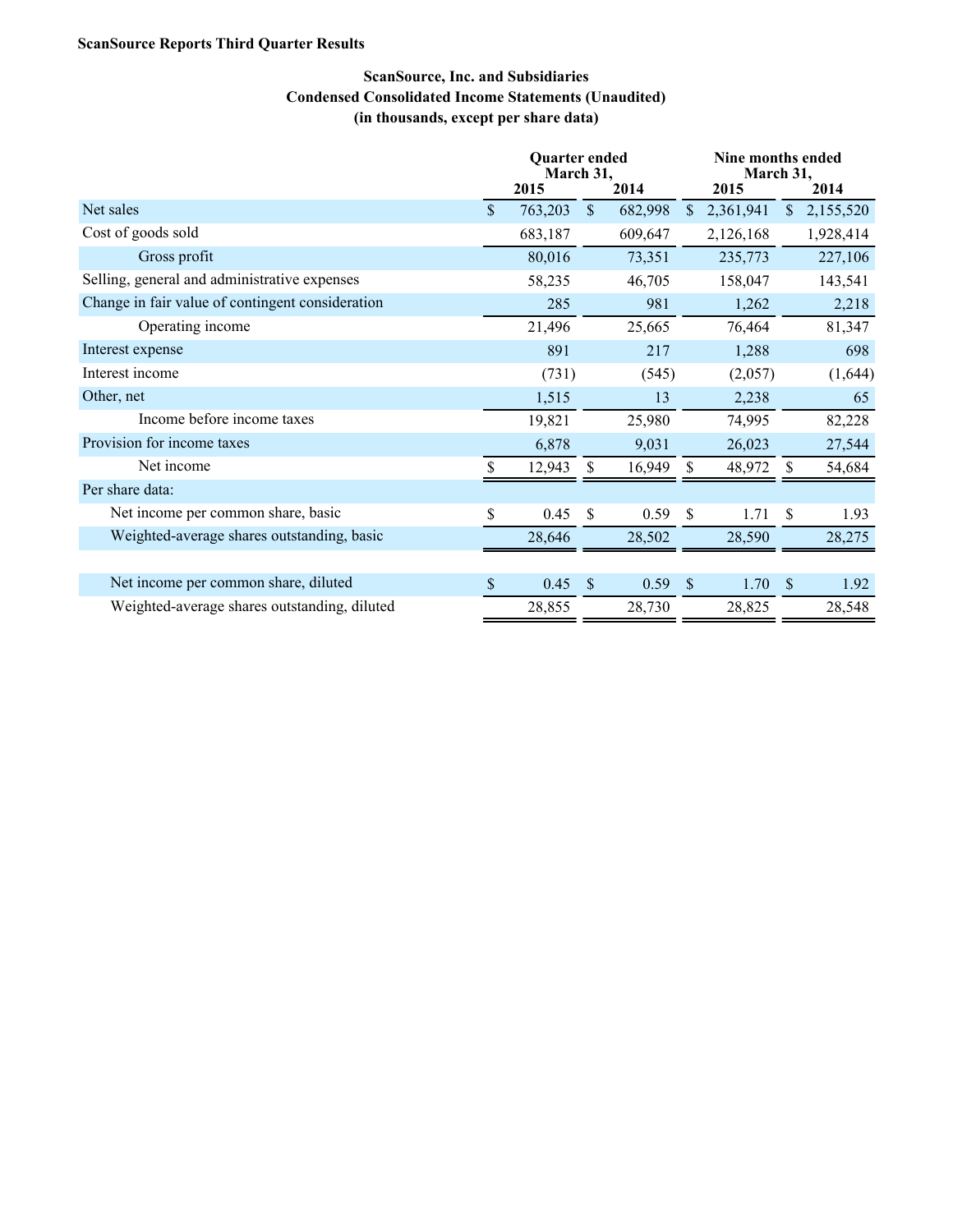### **ScanSource Reports Third Quarter Results**

## **ScanSource, Inc. and Subsidiaries Condensed Consolidated Income Statements (Unaudited) (in thousands, except per share data)**

|                                                  | Quarter ended<br>March 31, |         |                           |         | Nine months ended<br>March 31, |           |              |           |
|--------------------------------------------------|----------------------------|---------|---------------------------|---------|--------------------------------|-----------|--------------|-----------|
|                                                  |                            | 2015    |                           | 2014    |                                | 2015      |              | 2014      |
| Net sales                                        | $\mathbf{\$}$              | 763,203 | $\mathbb{S}$              | 682,998 | <sup>\$</sup>                  | 2,361,941 | $\mathbb{S}$ | 2,155,520 |
| Cost of goods sold                               |                            | 683,187 |                           | 609,647 |                                | 2,126,168 |              | 1,928,414 |
| Gross profit                                     |                            | 80,016  |                           | 73,351  |                                | 235,773   |              | 227,106   |
| Selling, general and administrative expenses     |                            | 58,235  |                           | 46,705  |                                | 158,047   |              | 143,541   |
| Change in fair value of contingent consideration |                            | 285     |                           | 981     |                                | 1,262     |              | 2,218     |
| Operating income                                 |                            | 21,496  |                           | 25,665  |                                | 76,464    |              | 81,347    |
| Interest expense                                 |                            | 891     |                           | 217     |                                | 1,288     |              | 698       |
| Interest income                                  |                            | (731)   |                           | (545)   |                                | (2,057)   |              | (1,644)   |
| Other, net                                       |                            | 1,515   |                           | 13      |                                | 2,238     |              | 65        |
| Income before income taxes                       |                            | 19,821  |                           | 25,980  |                                | 74,995    |              | 82,228    |
| Provision for income taxes                       |                            | 6,878   |                           | 9,031   |                                | 26,023    |              | 27,544    |
| Net income                                       |                            | 12,943  | \$                        | 16,949  | \$.                            | 48,972    | S            | 54,684    |
| Per share data:                                  |                            |         |                           |         |                                |           |              |           |
| Net income per common share, basic               | \$                         | 0.45    | <sup>\$</sup>             | 0.59    | <sup>\$</sup>                  | 1.71      | -S           | 1.93      |
| Weighted-average shares outstanding, basic       |                            | 28,646  |                           | 28,502  |                                | 28,590    |              | 28,275    |
|                                                  |                            |         |                           |         |                                |           |              |           |
| Net income per common share, diluted             | \$                         | 0.45    | $\boldsymbol{\mathsf{S}}$ | 0.59    | $\mathcal{S}$                  | 1.70      | -\$          | 1.92      |
| Weighted-average shares outstanding, diluted     |                            | 28,855  |                           | 28,730  |                                | 28,825    |              | 28,548    |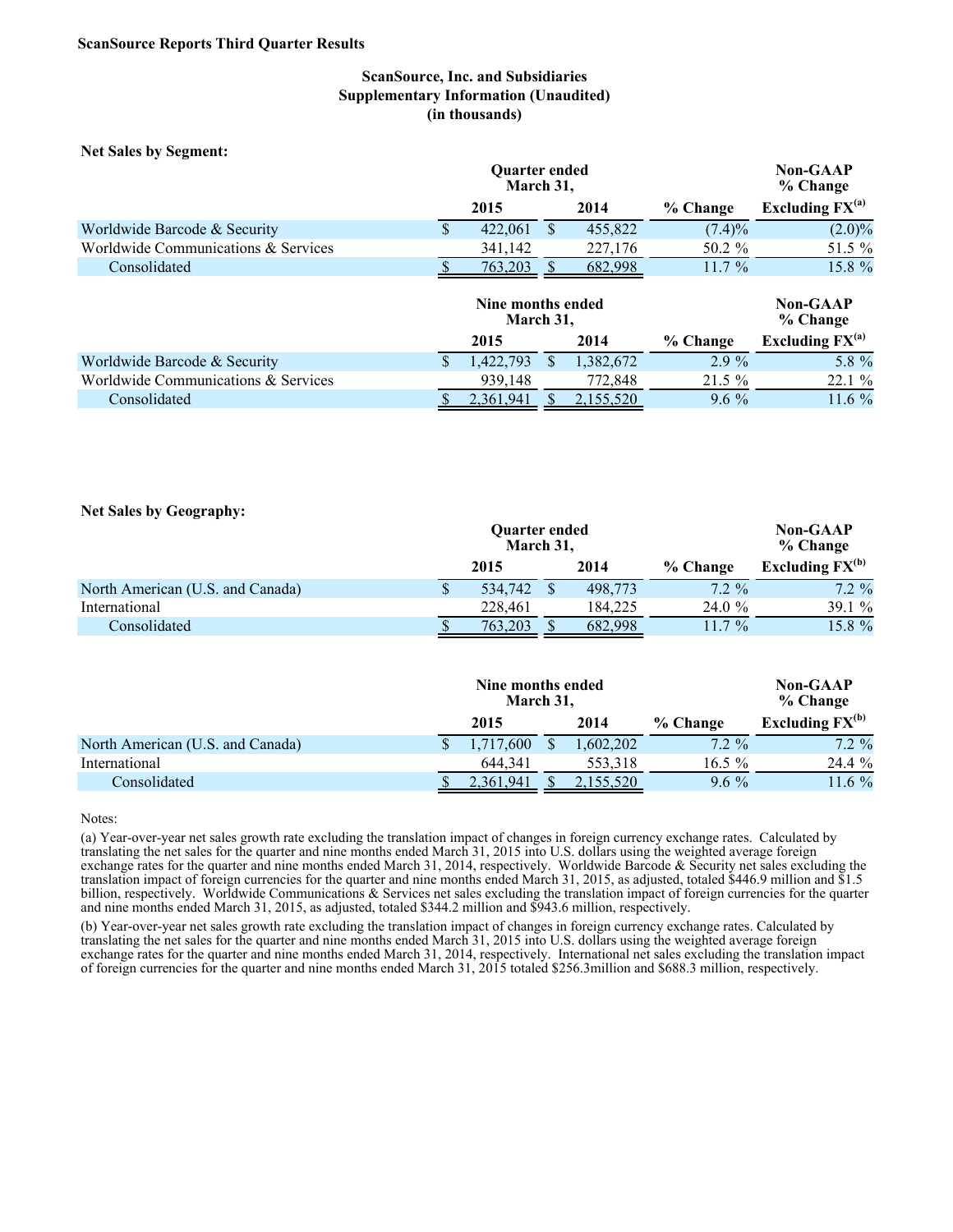### **ScanSource, Inc. and Subsidiaries Supplementary Information (Unaudited) (in thousands)**

**Net Sales by Segment:**

|                                     | Quarter ended<br>March 31, |         |  |         |          | <b>Non-GAAP</b><br>% Change |
|-------------------------------------|----------------------------|---------|--|---------|----------|-----------------------------|
|                                     |                            | 2015    |  | 2014    | % Change | Excluding $FX^{(a)}$        |
| Worldwide Barcode & Security        | P                          | 422,061 |  | 455.822 | (7.4)%   | $(2.0)\%$                   |
| Worldwide Communications & Services |                            | 341.142 |  | 227,176 | 50.2 %   | 51.5 %                      |
| Consolidated                        |                            | 763,203 |  | 682,998 | $11.7\%$ | 15.8 %                      |

|                                     | Nine months ended<br>March 31, | <b>Non-GAAP</b><br>% Change |          |                      |
|-------------------------------------|--------------------------------|-----------------------------|----------|----------------------|
|                                     | 2015                           | 2014                        | % Change | Excluding $FX^{(a)}$ |
| Worldwide Barcode & Security        | 422.793                        | 1.382.672                   | $2.9\%$  | 5.8 $%$              |
| Worldwide Communications & Services | 939.148                        | 772.848                     | $21.5\%$ | 22.1%                |
| Consolidated                        | 2,361,941                      | 2,155,520                   | $9.6\%$  | $1.6\%$              |

#### **Net Sales by Geography:**

|                                  | <b>Ouarter ended</b><br>March 31, |         |  |         |          |                      |  |  |  |  | <b>Non-GAAP</b><br>% Change |
|----------------------------------|-----------------------------------|---------|--|---------|----------|----------------------|--|--|--|--|-----------------------------|
|                                  |                                   | 2015    |  | 2014    | % Change | Excluding $FX^{(b)}$ |  |  |  |  |                             |
| North American (U.S. and Canada) | Φ                                 | 534,742 |  | 498,773 | $7.2 \%$ | $7.2 \%$             |  |  |  |  |                             |
| International                    |                                   | 228,461 |  | 184.225 | 24.0 %   | 39.1%                |  |  |  |  |                             |
| Consolidated                     |                                   | 763,203 |  | 682.998 | $11.7\%$ | 15.8 %               |  |  |  |  |                             |

|                                  | Nine months ended<br>March 31, | <b>Non-GAAP</b><br>% Change |          |                      |
|----------------------------------|--------------------------------|-----------------------------|----------|----------------------|
|                                  | 2015                           | 2014                        | % Change | Excluding $FX^{(b)}$ |
| North American (U.S. and Canada) | 1,717,600                      | 1,602,202                   | $7.2 \%$ | $7.2\%$              |
| International                    | 644.341                        | 553.318                     | 16.5 $%$ | 24.4 %               |
| Consolidated                     | 2,361,941                      | 2,155,520                   | $9.6\%$  | $1.6\%$              |

Notes:

(a) Year-over-year net sales growth rate excluding the translation impact of changes in foreign currency exchange rates. Calculated by translating the net sales for the quarter and nine months ended March 31, 2015 into U.S. dollars using the weighted average foreign exchange rates for the quarter and nine months ended March 31, 2014, respectively. Worldwide Barcode & Security net sales excluding the translation impact of foreign currencies for the quarter and nine months ended March 31, 2015, as adjusted, totaled \$446.9 million and \$1.5 billion, respectively. Worldwide Communications & Services net sales excluding the translation impact of foreign currencies for the quarter and nine months ended March 31, 2015, as adjusted, totaled \$344.2 million and \$943.6 million, respectively.

(b) Year-over-year net sales growth rate excluding the translation impact of changes in foreign currency exchange rates. Calculated by translating the net sales for the quarter and nine months ended March 31, 2015 into U.S. dollars using the weighted average foreign exchange rates for the quarter and nine months ended March 31, 2014, respectively. International net sales excluding the translation impact of foreign currencies for the quarter and nine months ended March 31, 2015 totaled \$256.3million and \$688.3 million, respectively.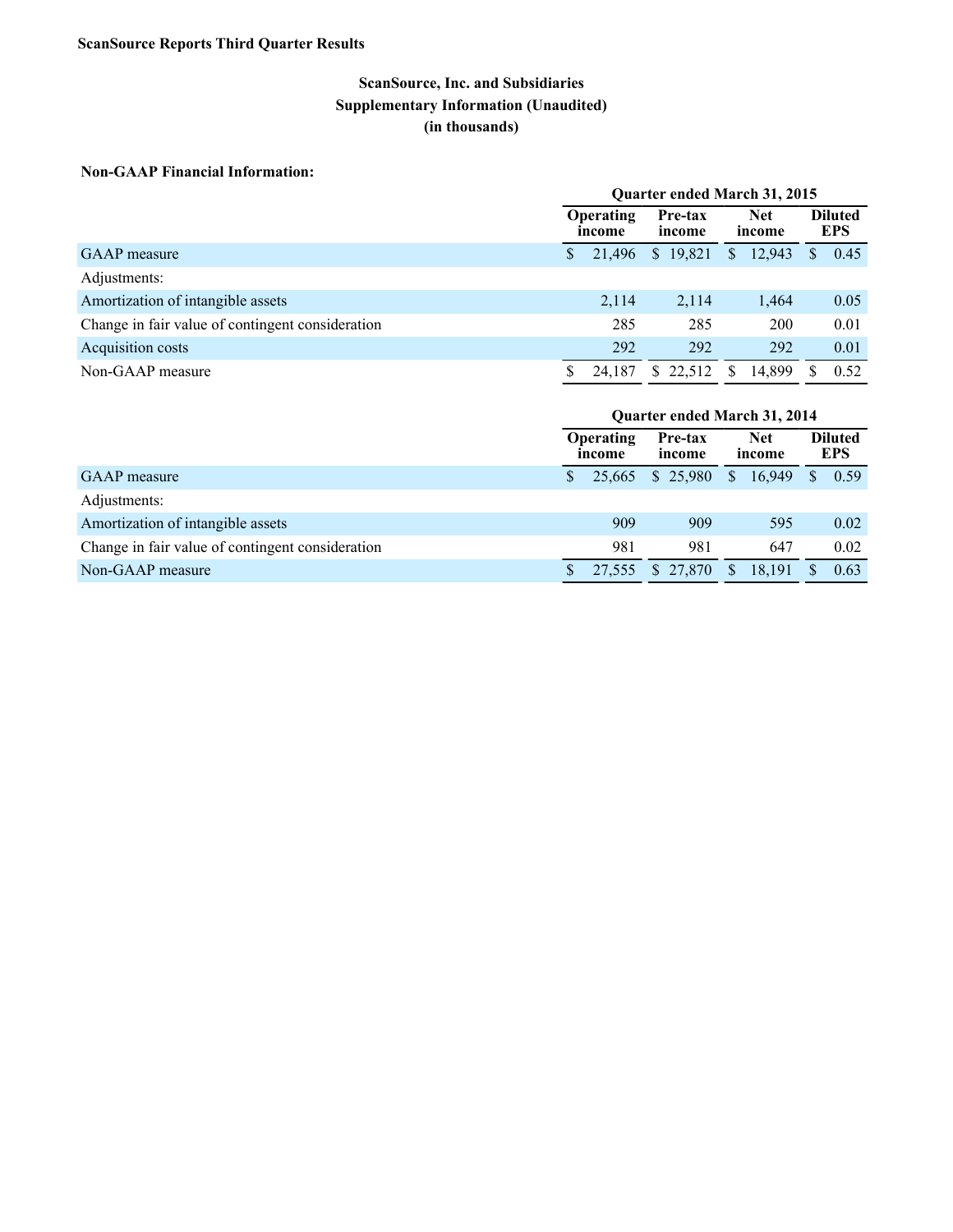## **ScanSource, Inc. and Subsidiaries Supplementary Information (Unaudited) (in thousands)**

### **Non-GAAP Financial Information:**

|                                                  | Quarter ended March 31, 2015             |        |                      |              |        |  |                              |  |
|--------------------------------------------------|------------------------------------------|--------|----------------------|--------------|--------|--|------------------------------|--|
|                                                  | Operating<br>Pre-tax<br>income<br>income |        | <b>Net</b><br>income |              |        |  | <b>Diluted</b><br><b>EPS</b> |  |
| <b>GAAP</b> measure                              |                                          | 21.496 | \$19,821             | <sup>S</sup> | 12,943 |  | 0.45                         |  |
| Adjustments:                                     |                                          |        |                      |              |        |  |                              |  |
| Amortization of intangible assets                |                                          | 2,114  | 2,114                |              | 1,464  |  | 0.05                         |  |
| Change in fair value of contingent consideration |                                          | 285    | 285                  |              | 200    |  | 0.01                         |  |
| Acquisition costs                                |                                          | 292    | 292                  |              | 292    |  | 0.01                         |  |
| Non-GAAP measure                                 |                                          | 24.187 | \$ 22,512            | \$           | 14,899 |  | 0.52                         |  |

|                                                  | Quarter ended March 31, 2014 |                            |                   |              |                      |          |                       |  |
|--------------------------------------------------|------------------------------|----------------------------|-------------------|--------------|----------------------|----------|-----------------------|--|
|                                                  |                              | <b>Operating</b><br>income | Pre-tax<br>income |              | <b>Net</b><br>income |          | <b>Diluted</b><br>EPS |  |
| <b>GAAP</b> measure                              |                              | 25.665                     | \$25,980          | $\mathbb{S}$ | 16.949               | <b>S</b> | 0.59                  |  |
| Adjustments:                                     |                              |                            |                   |              |                      |          |                       |  |
| Amortization of intangible assets                |                              | 909                        | 909               |              | 595                  |          | 0.02                  |  |
| Change in fair value of contingent consideration |                              | 981                        | 981               |              | 647                  |          | 0.02                  |  |
| Non-GAAP measure                                 |                              | 27,555                     | \$27,870          | $\mathbb{S}$ | 18,191               |          | 0.63                  |  |